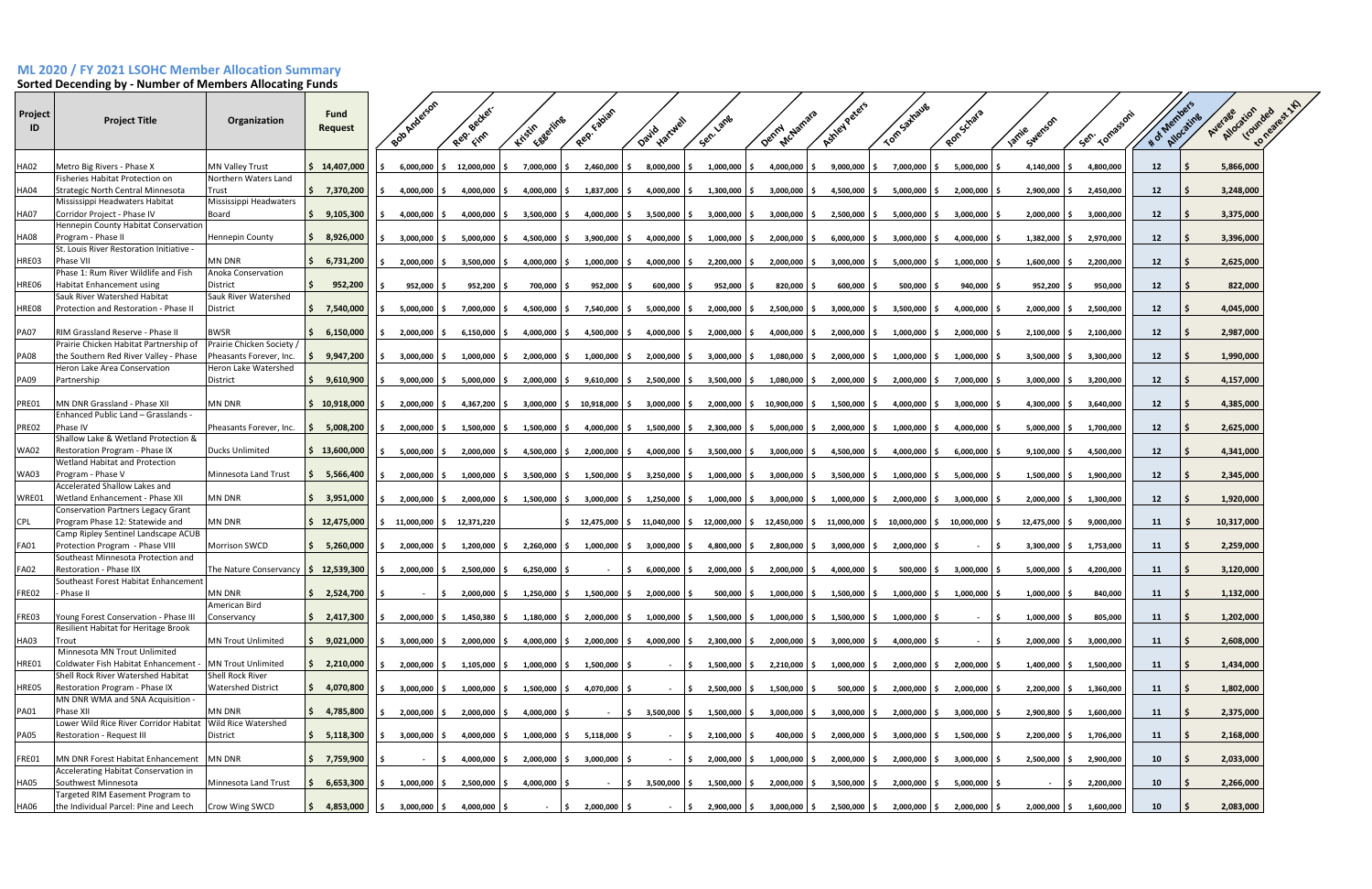## **ML 2020 / FY 2021 LSOHC Member Allocation Summary Sorted Decending by - Number of Members Allocating Funds**

|               | $\frac{1}{20}$                                                               |                                                                                                            |                               |                  |                                                   |                 |                           |                     |                                                                  |                                                     |                  |                                             |                                                                                                   |                       |                                       |                    |                    |  |
|---------------|------------------------------------------------------------------------------|------------------------------------------------------------------------------------------------------------|-------------------------------|------------------|---------------------------------------------------|-----------------|---------------------------|---------------------|------------------------------------------------------------------|-----------------------------------------------------|------------------|---------------------------------------------|---------------------------------------------------------------------------------------------------|-----------------------|---------------------------------------|--------------------|--------------------|--|
| Project<br>ID | <b>Project Title</b>                                                         | Organization                                                                                               | <b>Fund</b><br><b>Request</b> | Biob Ardersu     | Becker'<br>Rep. Finn                              | Kristin ggeling | Rep rapian                | Hartuye<br>David    | Sen. Lang                                                        | Demny chame                                         | Ashley Peters    | Tom satiave                                 | Ron Schara                                                                                        | Jamie Swenson         | Sen.                                  | <b>K of Member</b> | Average cation ded |  |
|               |                                                                              |                                                                                                            |                               |                  |                                                   |                 |                           |                     |                                                                  |                                                     |                  |                                             |                                                                                                   |                       |                                       |                    |                    |  |
| HA02          | Metro Big Rivers - Phase X                                                   | <b>MN Valley Trust</b>                                                                                     | \$14,407,000                  |                  | $6,000,000$ $\mid$ \$ 12,000,000                  | 7,000,000       | 2,460,000 \$              | 8,000,000 \$        | 1,000,000 \$                                                     |                                                     |                  |                                             | 4,000,000 S 9,000,000 S 7,000,000 S 5,000,000 S                                                   | $4,140,000$ \$        | 4,800,000                             | 12                 | 5,866,000          |  |
|               | Fisheries Habitat Protection on                                              | Northern Waters Land                                                                                       |                               |                  |                                                   |                 |                           |                     |                                                                  |                                                     |                  |                                             |                                                                                                   |                       |                                       |                    |                    |  |
| <b>HA04</b>   | <b>Strategic North Central Minnesota</b>                                     | Trust                                                                                                      | \$7,370,200                   | 4,000,000丨\$     | 4,000,000                                         | 4,000,000       | 1,837,000 \$              |                     | 4,000,000 \$1,300,000 \$3,000,000 \$                             |                                                     |                  | 4,500,000 \$ 5,000,000 \$                   | 2,000,000                                                                                         |                       | $2,900,000$ $\binom{6}{5}$ 2,450,000  | 12                 | 3,248,000          |  |
|               | Mississippi Headwaters Habitat                                               | Mississippi Headwaters                                                                                     |                               |                  |                                                   |                 |                           |                     |                                                                  |                                                     |                  |                                             |                                                                                                   |                       |                                       |                    |                    |  |
| <b>HA07</b>   | Corridor Project - Phase IV                                                  | Board                                                                                                      | \$9,105,300                   | 4,000,000丨\$     | 4,000,000                                         | 3,500,000       | 4,000,000                 | 3,500,000 \$<br>IS. | 3,000,000 \$                                                     | 3,000,000 \$                                        | 2,500,000 \$     | 5,000,000 S                                 | 3,000,000 \$                                                                                      |                       | $2,000,000$ $\binom{6}{5}$ 3,000,000  | 12                 | 3,375,000          |  |
|               | Hennepin County Habitat Conservation                                         |                                                                                                            |                               |                  |                                                   |                 |                           |                     |                                                                  |                                                     |                  |                                             |                                                                                                   |                       |                                       |                    |                    |  |
| HA08          | Program - Phase II                                                           | <b>Hennepin County</b>                                                                                     | 8,926,000                     | $$3,000,000$ \$  | 5,000,000                                         | 4,500,000       | $3,900,000$ \$            |                     | 4,000,000 S 1,000,000 S                                          | 2,000,000 S                                         |                  | $6,000,000$ $\mid \xi$ 3,000,000 $\mid \xi$ | 4,000,000 \$                                                                                      |                       | $1,382,000$ $\frac{1}{2}$ 2,970,000   | 12                 | 3,396,000          |  |
|               | St. Louis River Restoration Initiative -                                     |                                                                                                            |                               |                  |                                                   |                 |                           |                     |                                                                  |                                                     |                  |                                             |                                                                                                   |                       |                                       |                    |                    |  |
| HRE03         | Phase VII<br>Phase 1: Rum River Wildlife and Fish                            | <b>MN DNR</b><br>Anoka Conservation                                                                        | \$6,731,200                   | 2,000,000 \$     | 3,500,000                                         | 4,000,000       | 1,000,000                 | 4,000,000 \$<br>IS. | 2,200,000 \$                                                     | 2,000,000 │ \$                                      | $3,000,000$ \$   | 5,000,000 \$                                | 1,000,000 \$                                                                                      | 1,600,000 \$          | 2,200,000                             | 12                 | 2,625,000          |  |
| HRE06         | Habitat Enhancement using                                                    | District                                                                                                   | \$952,200                     | 952,000 \$       | $952,200$ \$                                      | 700,000         | 952,000                   | 600,000 \$<br>IS.   | 952,000 \$                                                       | 820,000 \$                                          | $600,000$   \$   | $500,000$   \$                              | 940,000 \$                                                                                        | $952,200$ \$          | 950,000                               | 12                 | 822,000            |  |
|               | Sauk River Watershed Habitat                                                 | Sauk River Watershed                                                                                       |                               |                  |                                                   |                 |                           |                     |                                                                  |                                                     |                  |                                             |                                                                                                   |                       |                                       |                    |                    |  |
| HRE08         | Protection and Restoration - Phase II                                        | District                                                                                                   | \$7,540,000                   | $$5,000,000$ \$  | 7,000,000                                         | 4,500,000       | 7,540,000                 | 5,000,000 \$<br>IS. | 2,000,000 \$                                                     | 2,500,000 \$                                        | $3,000,000$ \$   | 3,500,000 \$                                | 4,000,000 \$                                                                                      | 2,000,000 \$          | 2,500,000                             | 12                 | 4,045,000          |  |
|               |                                                                              |                                                                                                            |                               |                  |                                                   |                 |                           |                     |                                                                  |                                                     |                  |                                             |                                                                                                   |                       |                                       |                    |                    |  |
| <b>PA07</b>   | RIM Grassland Reserve - Phase II                                             | <b>BWSR</b>                                                                                                | \$6,150,000                   | $$2,000,000$ $$$ | 6,150,000                                         | 4,000,000       | 4,500,000                 | 4,000,000 \$<br>IS. | 2,000,000 \$                                                     | 4,000,000 \$                                        | 2,000,000 \$     | 1,000,000 \$                                | 2,000,000 \$                                                                                      |                       | $2,100,000$ \$ 2,100,000              | 12                 | 2,987,000          |  |
|               | Prairie Chicken Habitat Partnership of                                       | Prairie Chicken Society /                                                                                  |                               |                  |                                                   |                 |                           |                     |                                                                  |                                                     |                  |                                             |                                                                                                   |                       |                                       |                    |                    |  |
| <b>PA08</b>   | the Southern Red River Valley - Phase                                        | Pheasants Forever, Inc.                                                                                    | \$9,947,200                   | \$3,000,000      | 1,000,000                                         | 2,000,000       | $1,000,000$ $\frac{1}{2}$ | 2,000,000 \$        | 3,000,000 \$                                                     | 1,080,000 \$                                        | 2,000,000 \$     | 1,000,000 S                                 | 1,000,000 S                                                                                       | 3,500,000 \$          | 3,300,000                             | 12                 | 1,990,000          |  |
|               | Heron Lake Area Conservation                                                 | Heron Lake Watershed                                                                                       |                               |                  |                                                   |                 |                           |                     |                                                                  |                                                     |                  |                                             |                                                                                                   |                       |                                       |                    |                    |  |
| <b>PA09</b>   | Partnership                                                                  | District                                                                                                   | \$9,610,900                   | $$9,000,000$ \$  | $5,000,000$ $\frac{1}{5}$                         | 2,000,000       |                           |                     | $9,610,000$ \$ 2,500,000 \$ 3,500,000 \$ 1,080,000 \$            |                                                     | 2,000,000 \$     | 2,000,000 \$                                | 7,000,000 \$                                                                                      |                       | $3,000,000$ $\frac{1}{2}$ $3,200,000$ | 12                 | 4,157,000          |  |
|               |                                                                              |                                                                                                            |                               |                  |                                                   |                 |                           |                     |                                                                  |                                                     |                  |                                             |                                                                                                   |                       |                                       |                    |                    |  |
| PRE01         | MN DNR Grassland - Phase XII                                                 | <b>MN DNR</b>                                                                                              | \$10,918,000                  | 2,000,000        | 4,367,200 \$                                      | 3,000,000 \$    | 10,918,000 \$             | 3,000,000 \$        |                                                                  | 2,000,000 \$ 10,900,000 \$                          | 1,500,000 \$     |                                             | $4,000,000$ $\mid$ \$ 3,000,000 $\mid$ \$                                                         | 4,300,000 \$          | 3,640,000                             | 12                 | 4,385,000          |  |
|               | Enhanced Public Land - Grasslands -                                          |                                                                                                            |                               |                  |                                                   |                 |                           |                     |                                                                  |                                                     |                  |                                             |                                                                                                   |                       |                                       |                    |                    |  |
| PRE02         | Phase IV                                                                     | Pheasants Forever, Inc.                                                                                    | 5,008,200                     | 2,000,000        | $1,500,000$ \$<br>S.                              | 1,500,000       | 4,000,000 \$              | 1,500,000 \$        | 2,300,000 \$                                                     | 5,000,000 \$                                        | 2,000,000 \$     | 1,000,000 \$                                | 4,000,000 \$                                                                                      | 5,000,000 \$          | 1,700,000                             | 12                 | 2,625,000          |  |
|               | Shallow Lake & Wetland Protection &                                          |                                                                                                            |                               |                  |                                                   |                 |                           |                     |                                                                  |                                                     |                  |                                             |                                                                                                   |                       |                                       |                    |                    |  |
| <b>WA02</b>   | Restoration Program - Phase IX                                               | <b>Ducks Unlimited</b>                                                                                     | \$13,600,000                  | 5,000,000        | 2,000,000<br>-S.                                  | 4,500,000       | 2,000,000                 | 4,000,000 \$<br>IS. | 3,500,000 \$                                                     | $3,000,000$ \$                                      | $4,500,000$ \$   | $4,000,000$ $\mid$ \$                       | 6,000,000                                                                                         | $9,100,000$ $\mid$ \$ | 4,500,000                             | 12                 | 4,341,000          |  |
|               | Wetland Habitat and Protection                                               |                                                                                                            |                               |                  |                                                   |                 |                           |                     |                                                                  |                                                     |                  |                                             |                                                                                                   |                       |                                       |                    |                    |  |
| <b>WA03</b>   | Program - Phase V                                                            | Minnesota Land Trust                                                                                       | 5,566,400                     | 2,000,000        | 1,000,000<br>-S.                                  | 3,500,000       | $1,500,000$ $\mid$ \$     | 3,250,000 \$        | $1,000,000$ \$                                                   | 3,000,000 S                                         | 3,500,000 \$     | 1,000,000 \$                                | 5,000,000 \$                                                                                      | $1,500,000$ \$        | 1,900,000                             | 12                 | 2,345,000          |  |
|               | Accelerated Shallow Lakes and                                                |                                                                                                            |                               |                  |                                                   |                 |                           |                     |                                                                  |                                                     |                  |                                             |                                                                                                   |                       |                                       |                    |                    |  |
| WRE01         | Wetland Enhancement - Phase XII                                              | <b>MN DNR</b>                                                                                              | \$3,951,000                   | 2,000,000 \$     | 2,000,000                                         | 1,500,000       | $3,000,000$ $\frac{1}{2}$ | 1,250,000 \$        | 1,000,000 \$                                                     | 3,000,000 \$                                        | $1,000,000$ \$   |                                             | 2,000,000 \$ 3,000,000                                                                            |                       | $2,000,000$ $\binom{6}{5}$ 1,300,000  | 12                 | 1,920,000          |  |
|               | <b>Conservation Partners Legacy Grant</b><br>Program Phase 12: Statewide and | <b>MN DNR</b>                                                                                              |                               |                  |                                                   |                 |                           |                     |                                                                  |                                                     |                  |                                             |                                                                                                   |                       |                                       |                    |                    |  |
| <b>CPL</b>    | Camp Ripley Sentinel Landscape ACUB                                          |                                                                                                            | \$12,475,000                  |                  | $\frac{1}{2}$ 11,000,000 $\frac{1}{2}$ 12,371,220 |                 |                           |                     |                                                                  |                                                     |                  |                                             | 12,475,000│\$ 11,040,000│\$ 12,000,000│\$ 12,450,000│\$ 11,000,000│\$ 10,000,000│\$ 10,000,000│\$ | 12,475,000 \$         | 9,000,000                             | 11                 | 10,317,000<br>-S   |  |
| <b>FA01</b>   | Protection Program - Phase VIII                                              | <b>Morrison SWCD</b>                                                                                       | \$5,260,000                   | 2,000,000        | 1,200,000<br>-S                                   | 2,260,000       | 1,000,000                 | 3,000,000 \$<br>IS. | 4,800,000 \$                                                     | 2,800,000 \$                                        | $3,000,000$ \$   | $2,000,000$ \$                              |                                                                                                   | $3,300,000$   \$      | 1,753,000                             | 11                 | 2,259,000          |  |
|               | Southeast Minnesota Protection and                                           |                                                                                                            |                               |                  |                                                   |                 |                           |                     |                                                                  |                                                     |                  |                                             |                                                                                                   |                       |                                       |                    |                    |  |
| <b>FA02</b>   | Restoration - Phase IIX                                                      | The Nature Conservancy $\begin{array}{ c c c }\n\hline\n\text{5} & \text{12,539,300}\n\hline\n\end{array}$ |                               | 2,000,000        | 2,500,000                                         | 6,250,000       |                           | 6,000,000 \$        | 2,000,000 \$                                                     | 2,000,000                                           | 4,000,000<br>IS. | $500,000$ $\frac{1}{2}$                     | 3,000,000 \$                                                                                      | 5,000,000 \$          | 4,200,000                             | <b>11</b>          | 3,120,000          |  |
|               | Southeast Forest Habitat Enhancement                                         |                                                                                                            |                               |                  |                                                   |                 |                           |                     |                                                                  |                                                     |                  |                                             |                                                                                                   |                       |                                       |                    |                    |  |
| FRE02         | - Phase II                                                                   | <b>MN DNR</b>                                                                                              | $\frac{1}{2}$ , 2,524,700     | $-15$            | 2,000,000 \$                                      | 1,250,000 \$    | 1,500,000 \$              | 2,000,000 \$        |                                                                  | $500,000$ $\binom{6}{5}$ 1,000,000 $\binom{6}{5}$   | 1,500,000 S      | 1,000,000 \$                                | 1,000,000 S                                                                                       | $1,000,000$   \$      | 840,000                               | <b>11</b>          | 1,132,000          |  |
|               |                                                                              | American Bird                                                                                              |                               |                  |                                                   |                 |                           |                     |                                                                  |                                                     |                  |                                             |                                                                                                   |                       |                                       |                    |                    |  |
| FRE03         | Young Forest Conservation - Phase III                                        | Conservancy                                                                                                | $\frac{1}{2}$ , 2,417,300     | 2,000,000 \$     | 1,450,380 \$                                      | 1,180,000       | 2,000,000                 | 1,000,000 \$<br>IS. |                                                                  | $1,500,000$ \$ $1,000,000$ \$                       | 1,500,000 \$     | $1,000,000$ \$                              | $-15$                                                                                             | $1,000,000$ \$        | 805,000                               | 11                 | 1,202,000<br>Ŝ.    |  |
|               | Resilient Habitat for Heritage Brook                                         |                                                                                                            |                               |                  |                                                   |                 |                           |                     |                                                                  |                                                     |                  |                                             |                                                                                                   |                       |                                       |                    |                    |  |
| HA03          | Trout                                                                        | <b>MN Trout Unlimited</b>                                                                                  | $\frac{1}{2}$ 9,021,000       | $$3,000,000$ $$$ | 2,000,000                                         | 4,000,000       | 2,000,000                 |                     | $4,000,000$ $\mid \xi$ 2,300,000 $\mid \xi$ 2,000,000 $\mid \xi$ |                                                     | $3,000,000$ \$   | $4,000,000$ \$                              | IS.<br>$\sim$                                                                                     |                       | $2,000,000$ \$ 3,000,000              | <b>11</b>          | 2,608,000          |  |
|               | Minnesota MN Trout Unlimited                                                 |                                                                                                            |                               |                  |                                                   |                 |                           |                     |                                                                  |                                                     |                  |                                             |                                                                                                   |                       |                                       |                    |                    |  |
| HREO1         | Coldwater Fish Habitat Enhancement                                           | <b>MN Trout Unlimited</b>                                                                                  | 2,210,000                     | 2,000,000 \$     | 1,105,000 \$                                      | 1,000,000       | $1,500,000$ \$            | $\sim$              | IS.                                                              | $1,500,000$ $\binom{6}{5}$ 2,210,000 $\binom{6}{5}$ |                  |                                             | $1,000,000$   \$ 2,000,000   \$ 2,000,000   \$                                                    |                       | $1,400,000$ $\frac{1}{2}$ 1,500,000   | <b>11</b>          | 1,434,000          |  |
|               | Shell Rock River Watershed Habitat                                           | <b>Shell Rock River</b>                                                                                    |                               |                  |                                                   |                 |                           |                     |                                                                  |                                                     |                  |                                             |                                                                                                   |                       |                                       |                    |                    |  |
| HRE05         | Restoration Program - Phase IX                                               | <b>Watershed District</b>                                                                                  | \$4,070,800                   | $$3,000,000$ \$  | 1,000,000 \$                                      | 1,500,000       | 4,070,000 \$              | $\sim$              | $\mathsf{I}$                                                     | $2,500,000$ \$ $1,500,000$ \$                       |                  |                                             | $500,000$ \$ 2,000,000 \$ 2,000,000 \$                                                            |                       | $2,200,000$ \$ 1,360,000              | 11                 | 1,802,000          |  |
|               | MN DNR WMA and SNA Acquisition -                                             |                                                                                                            |                               |                  |                                                   |                 |                           |                     |                                                                  |                                                     |                  |                                             |                                                                                                   |                       |                                       |                    |                    |  |
| <b>PA01</b>   | Phase XII                                                                    | <b>MN DNR</b>                                                                                              | $\frac{1}{2}$ 4,785,800       | 2,000,000 \$     | 2,000,000 \$                                      | 4,000,000       | $\sim$                    | IS.<br>3,500,000 S  |                                                                  | 1,500,000 \$ 3,000,000 \$                           | 3,000,000 \$     | 2,000,000 \$                                | 3,000,000 \$                                                                                      |                       | 2,900,800   \$1,600,000               | <b>11</b>          | 2,375,000          |  |
|               | Lower Wild Rice River Corridor Habitat                                       | <b>Wild Rice Watershed</b>                                                                                 |                               |                  |                                                   |                 |                           |                     |                                                                  |                                                     |                  |                                             |                                                                                                   |                       |                                       |                    |                    |  |
| <b>PA05</b>   | Restoration - Request III                                                    | District                                                                                                   | \$5,118,300                   | $$3,000,000$ \$  | 4,000,000 \$                                      | 1,000,000 \$    | 5,118,000 \$              | $\sim$              | 2,100,000 \$<br>I\$.                                             | 400,000 \$                                          |                  |                                             | 2,000,000   \$3,000,000   \$1,500,000   \$                                                        |                       | 2,200,000   \$ 1,706,000              | 11                 | 2,168,000          |  |
| FRE01         | MN DNR Forest Habitat Enhancement                                            | <b>MN DNR</b>                                                                                              | \$7,759,900                   |                  |                                                   |                 |                           |                     |                                                                  |                                                     |                  |                                             |                                                                                                   |                       |                                       |                    |                    |  |
|               | <b>Accelerating Habitat Conservation in</b>                                  |                                                                                                            |                               | $\sim$           | 4,000,000<br>S.                                   | 2,000,000 \$    | 3,000,000 \$              | $\sim$              | $2,000,000$ \$<br>I\$.                                           | 1,000,000 \$                                        |                  | 2,000,000   \$2,000,000   \$                | 3,000,000 \$                                                                                      |                       | 2,500,000 \$ 2,900,000                | 10                 | 2,033,000          |  |
| HA05          | Southwest Minnesota                                                          | Minnesota Land Trust                                                                                       | 6,653,300                     | 1,000,000 S      | 2,500,000                                         | 4,000,000       | $\sim$                    |                     |                                                                  | 2,000,000 S                                         |                  |                                             | 3,500,000   \$2,000,000   \$5,000,000   \$                                                        | $\sim$ 100 $\mu$      | 2,200,000<br>I\$.                     | 10                 | 2,266,000          |  |
|               | Targeted RIM Easement Program to                                             |                                                                                                            |                               |                  |                                                   |                 |                           |                     |                                                                  |                                                     |                  |                                             |                                                                                                   |                       |                                       |                    |                    |  |
| HA06          | the Individual Parcel: Pine and Leech                                        | Crow Wing SWCD                                                                                             | 4,853,000                     | $$3,000,000$ \$  | 4,000,000 \$                                      | $\sim$          | $2,000,000$ \$<br>IS.     | $\sim$              | I\$.                                                             |                                                     |                  |                                             | 2,900,000   \$ 3,000,000   \$ 2,500,000   \$ 2,000,000   \$ 2,000,000   \$                        |                       | 2,000,000   \$ 1,600,000              | 10                 | 2,083,000          |  |
|               |                                                                              |                                                                                                            |                               |                  |                                                   |                 |                           |                     |                                                                  |                                                     |                  |                                             |                                                                                                   |                       |                                       |                    |                    |  |